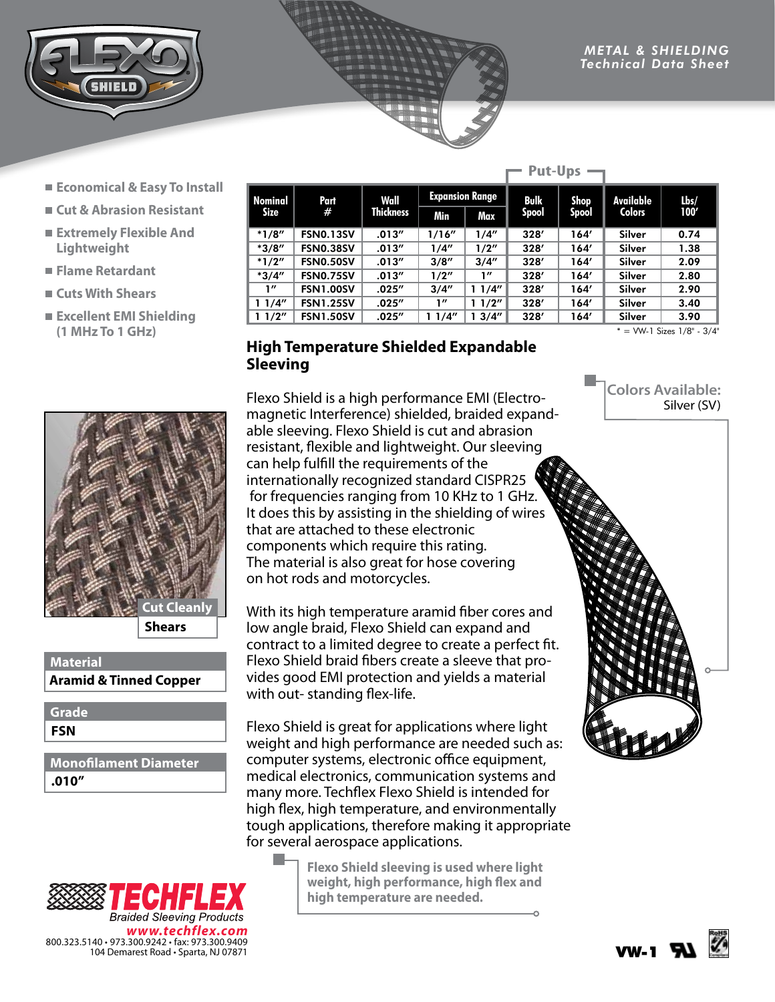

- **Economical & Easy To Install**
- **Cut & Abrasion Resistant**
- **Extremely Flexible And Lightweight**
- **Flame Retardant**
- **Cuts With Shears**
- **Excellent EMI Shielding (1 MHz To 1 GHz)**



**Shears**

**Material Aramid & Tinned Copper**

**FSN Grade**

**.010" Monofilament Diameter**

|         |                  |                  |                        |        | rut-vps      |              |               |      |
|---------|------------------|------------------|------------------------|--------|--------------|--------------|---------------|------|
| Nominal | Part             | Wall             | <b>Expansion Range</b> |        | <b>Bulk</b>  | <b>Shop</b>  | Available     | Lbs/ |
| Size    | #                | <b>Thickness</b> | Min                    | Max    | <b>Spool</b> | <b>Spool</b> | <b>Colors</b> | 100' |
| $*1/8"$ | <b>FSN0.13SV</b> | .013''           | 1/16''                 | 1/4"   | 328'         | 164'         | Silver        | 0.74 |
| $*3/8"$ | <b>FSN0.38SV</b> | .013''           | 1/4"                   | 1/2"   | 328'         | 164'         | Silver        | 1.38 |
| $*1/2"$ | <b>FSN0.50SV</b> | .013''           | 3/8''                  | 3/4''  | 328'         | 164'         | Silver        | 2.09 |
| $*3/4"$ | <b>FSN0.75SV</b> | .013''           | 1/2"                   | 1''    | 328'         | 164'         | Silver        | 2.80 |
| 1''     | <b>FSN1.00SV</b> | .025''           | 3/4''                  | 11/4"  | 328'         | 164′         | Silver        | 2.90 |
| 11/4"   | <b>FSN1.25SV</b> | .025''           | 1''                    | 11/2"  | 328'         | 164'         | Silver        | 3.40 |
| 11/2"   | <b>FSN1.50SV</b> | .025''           | 1/4''                  | 13/4'' | 328'         | 164'         | Silver        | 3.90 |

**Put-Ups**

 $* =$  VW-1 Sizes  $1/8$ " -  $3/4$ "

## **High Temperature Shielded Expandable Sleeving**

Flexo Shield is a high performance EMI (Electromagnetic Interference) shielded, braided expandable sleeving. Flexo Shield is cut and abrasion resistant, flexible and lightweight. Our sleeving can help fulfill the requirements of the internationally recognized standard CISPR25 for frequencies ranging from 10 KHz to 1 GHz. It does this by assisting in the shielding of wires that are attached to these electronic components which require this rating. The material is also great for hose covering on hot rods and motorcycles.

With its high temperature aramid fiber cores and low angle braid, Flexo Shield can expand and contract to a limited degree to create a perfect fit. Flexo Shield braid fibers create a sleeve that provides good EMI protection and yields a material with out- standing flex-life.

Flexo Shield is great for applications where light weight and high performance are needed such as: computer systems, electronic office equipment, medical electronics, communication systems and many more. Techflex Flexo Shield is intended for high flex, high temperature, and environmentally tough applications, therefore making it appropriate for several aerospace applications.



L.

**Flexo Shield sleeving is used where light weight, high performance, high flex and high temperature are needed.**

**Colors Available:** Silver (SV)



VW-1 **RIV**